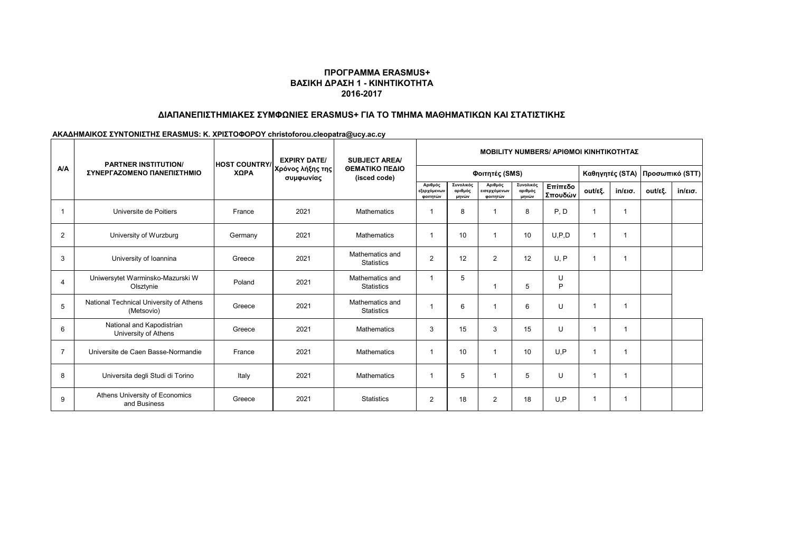#### **ΠΡΟΓΡΑΜΜΑ ERASMUS+ ΒΑΣΙΚΗ ΔΡΑΣΗ 1 - ΚΙΝΗΤΙΚΟΤΗΤΑ 2016-2017**

## **ΔΙΑΠΑΝΕΠΙΣΤΗΜΙΑΚΕΣ ΣΥΜΦΩΝΙΕΣ ERASMUS+ ΓΙΑ ΤΟ ΤΜΗΜΑ ΜΑΘΗΜΑΤΙΚΩΝ ΚΑΙ ΣΤΑΤΙΣΤΙΚΗΣ**

# **ΑΚΑΔΗΜΑΙΚΟΣ ΣΥΝΤΟΝΙΣΤΗΣ ERASMUS: Κ. ΧΡΙΣΤΟΦΟΡΟΥ christoforou.cleopatra@ucy.ac.cy**

| <b>A/A</b>     | <b>PARTNER INSTITUTION/</b><br>ΣΥΝΕΡΓΑΖΟΜΕΝΟ ΠΑΝΕΠΙΣΤΗΜΙΟ | <b>HOST COUNTRY/</b><br>ΧΩΡΑ | <b>EXPIRY DATE/</b><br>Χρόνος λήξης της<br>συμφωνίας | <b>SUBJECT AREA/</b><br>ΘΕΜΑΤΙΚΟ ΠΕΔΙΟ<br>(isced code) | <b>MOBILITY NUMBERS/ APIOMOI KINHTIKOTHTAZ</b> |                               |                                     |                               |                    |                 |                   |                 |                   |  |
|----------------|-----------------------------------------------------------|------------------------------|------------------------------------------------------|--------------------------------------------------------|------------------------------------------------|-------------------------------|-------------------------------------|-------------------------------|--------------------|-----------------|-------------------|-----------------|-------------------|--|
|                |                                                           |                              |                                                      |                                                        | Φοιτητές (SMS)                                 |                               |                                     |                               |                    | Καθηγητές (STA) |                   | Προσωπικό (STT) |                   |  |
|                |                                                           |                              |                                                      |                                                        | Αριθμός<br>εξερχόμενων<br>φοιτητών             | Συνολικός<br>αριθμός<br>μηνών | Αριθμός<br>εισερχόμενων<br>φοιτητών | Συνολικός<br>αριθμός<br>μηνών | Επίπεδο<br>Σπουδών | out/εξ.         | $in/\epsilon$ ισ. | out/εξ.         | $in/\epsilon$ ισ. |  |
|                | Universite de Poitiers                                    | France                       | 2021                                                 | Mathematics                                            | -1                                             | 8                             |                                     | 8                             | P, D               | 1               |                   |                 |                   |  |
| $\overline{2}$ | University of Wurzburg                                    | Germany                      | 2021                                                 | <b>Mathematics</b>                                     | -1                                             | 10                            |                                     | 10                            | U.P.D              | $\mathbf 1$     |                   |                 |                   |  |
| 3              | University of Ioannina                                    | Greece                       | 2021                                                 | Mathematics and<br><b>Statistics</b>                   | $\overline{2}$                                 | 12                            | 2                                   | 12                            | U, P               | 1               |                   |                 |                   |  |
| $\overline{4}$ | Uniwersytet Warminsko-Mazurski W<br>Olsztynie             | Poland                       | 2021                                                 | Mathematics and<br><b>Statistics</b>                   | -1                                             | 5                             |                                     | 5                             | U<br>P             |                 |                   |                 |                   |  |
| 5              | National Technical University of Athens<br>(Metsovio)     | Greece                       | 2021                                                 | Mathematics and<br><b>Statistics</b>                   | -1                                             | 6                             |                                     | 6                             | U                  | 1               | 1                 |                 |                   |  |
| 6              | National and Kapodistrian<br>University of Athens         | Greece                       | 2021                                                 | <b>Mathematics</b>                                     | 3                                              | 15                            | 3                                   | 15                            | U                  | 1               | 1                 |                 |                   |  |
| $\overline{7}$ | Universite de Caen Basse-Normandie                        | France                       | 2021                                                 | <b>Mathematics</b>                                     | -1                                             | 10                            |                                     | 10                            | U.P                | 1               |                   |                 |                   |  |
| 8              | Universita degli Studi di Torino                          | Italy                        | 2021                                                 | <b>Mathematics</b>                                     | -1                                             | 5                             |                                     | 5                             | U                  | 1               |                   |                 |                   |  |
| 9              | Athens University of Economics<br>and Business            | Greece                       | 2021                                                 | <b>Statistics</b>                                      | $\overline{2}$                                 | 18                            | $\overline{2}$                      | 18                            | U.P                | 1               |                   |                 |                   |  |